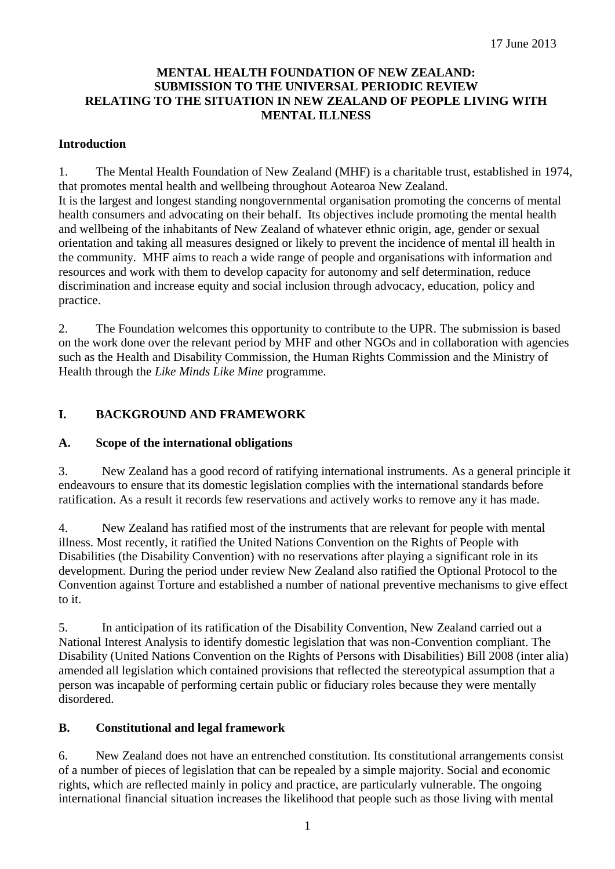#### **MENTAL HEALTH FOUNDATION OF NEW ZEALAND: SUBMISSION TO THE UNIVERSAL PERIODIC REVIEW RELATING TO THE SITUATION IN NEW ZEALAND OF PEOPLE LIVING WITH MENTAL ILLNESS**

#### **Introduction**

1. The Mental Health Foundation of New Zealand (MHF) is a charitable trust, established in 1974, that promotes mental health and wellbeing throughout Aotearoa New Zealand. It is the largest and longest standing nongovernmental organisation promoting the concerns of mental health consumers and advocating on their behalf. Its objectives include promoting the mental health and wellbeing of the inhabitants of New Zealand of whatever ethnic origin, age, gender or sexual orientation and taking all measures designed or likely to prevent the incidence of mental ill health in the community. MHF aims to reach a wide range of people and organisations with information and resources and work with them to develop capacity for autonomy and self determination, reduce discrimination and increase equity and social inclusion through advocacy, education, policy and practice.

2. The Foundation welcomes this opportunity to contribute to the UPR. The submission is based on the work done over the relevant period by MHF and other NGOs and in collaboration with agencies such as the Health and Disability Commission, the Human Rights Commission and the Ministry of Health through the *Like Minds Like Mine* programme*.* 

# **I. BACKGROUND AND FRAMEWORK**

# **A. Scope of the international obligations**

3. New Zealand has a good record of ratifying international instruments. As a general principle it endeavours to ensure that its domestic legislation complies with the international standards before ratification. As a result it records few reservations and actively works to remove any it has made.

4. New Zealand has ratified most of the instruments that are relevant for people with mental illness. Most recently, it ratified the United Nations Convention on the Rights of People with Disabilities (the Disability Convention) with no reservations after playing a significant role in its development. During the period under review New Zealand also ratified the Optional Protocol to the Convention against Torture and established a number of national preventive mechanisms to give effect to it.

5. In anticipation of its ratification of the Disability Convention, New Zealand carried out a National Interest Analysis to identify domestic legislation that was non-Convention compliant. The Disability (United Nations Convention on the Rights of Persons with Disabilities) Bill 2008 (inter alia) amended all legislation which contained provisions that reflected the stereotypical assumption that a person was incapable of performing certain public or fiduciary roles because they were mentally disordered.

# **B. Constitutional and legal framework**

6. New Zealand does not have an entrenched constitution. Its constitutional arrangements consist of a number of pieces of legislation that can be repealed by a simple majority. Social and economic rights, which are reflected mainly in policy and practice, are particularly vulnerable. The ongoing international financial situation increases the likelihood that people such as those living with mental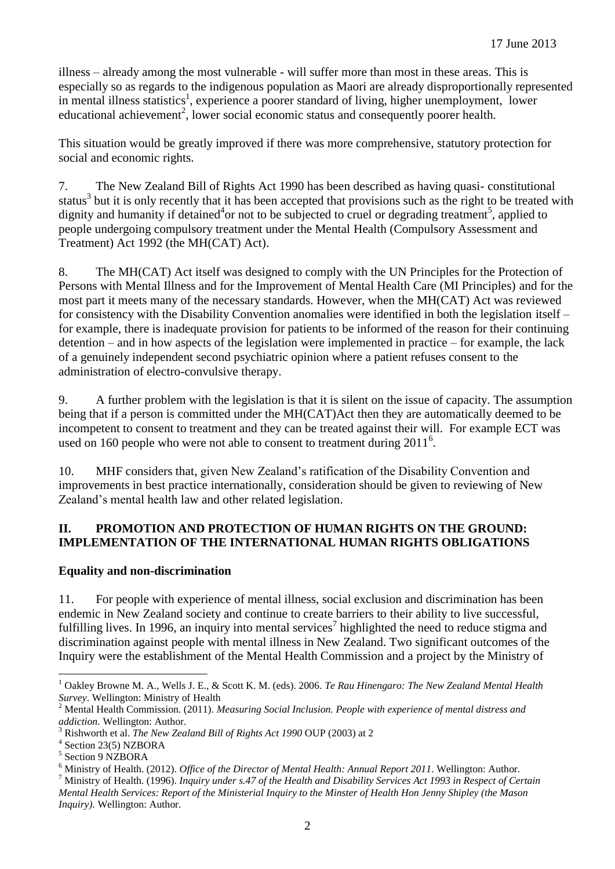illness – already among the most vulnerable - will suffer more than most in these areas. This is especially so as regards to the indigenous population as Maori are already disproportionally represented in mental illness statistics<sup>1</sup>, experience a poorer standard of living, higher unemployment, lower educational achievement<sup>2</sup>, lower social economic status and consequently poorer health.

This situation would be greatly improved if there was more comprehensive, statutory protection for social and economic rights.

7. The New Zealand Bill of Rights Act 1990 has been described as having quasi- constitutional status<sup>3</sup> but it is only recently that it has been accepted that provisions such as the right to be treated with dignity and humanity if detained<sup>4</sup>or not to be subjected to cruel or degrading treatment<sup>5</sup>, applied to people undergoing compulsory treatment under the Mental Health (Compulsory Assessment and Treatment) Act 1992 (the MH(CAT) Act).

8. The MH(CAT) Act itself was designed to comply with the UN Principles for the Protection of Persons with Mental Illness and for the Improvement of Mental Health Care (MI Principles) and for the most part it meets many of the necessary standards. However, when the MH(CAT) Act was reviewed for consistency with the Disability Convention anomalies were identified in both the legislation itself – for example, there is inadequate provision for patients to be informed of the reason for their continuing detention – and in how aspects of the legislation were implemented in practice – for example, the lack of a genuinely independent second psychiatric opinion where a patient refuses consent to the administration of electro-convulsive therapy.

9. A further problem with the legislation is that it is silent on the issue of capacity. The assumption being that if a person is committed under the MH(CAT)Act then they are automatically deemed to be incompetent to consent to treatment and they can be treated against their will. For example ECT was used on 160 people who were not able to consent to treatment during  $2011<sup>6</sup>$ .

10. MHF considers that, given New Zealand's ratification of the Disability Convention and improvements in best practice internationally, consideration should be given to reviewing of New Zealand's mental health law and other related legislation.

#### **II. PROMOTION AND PROTECTION OF HUMAN RIGHTS ON THE GROUND: IMPLEMENTATION OF THE INTERNATIONAL HUMAN RIGHTS OBLIGATIONS**

#### **Equality and non-discrimination**

11. For people with experience of mental illness, social exclusion and discrimination has been endemic in New Zealand society and continue to create barriers to their ability to live successful, fulfilling lives. In 1996, an inquiry into mental services<sup>7</sup> highlighted the need to reduce stigma and discrimination against people with mental illness in New Zealand. Two significant outcomes of the Inquiry were the establishment of the Mental Health Commission and a project by the Ministry of

*Inquiry).* Wellington: Author.

 $\overline{a}$ <sup>1</sup> Oakley Browne M. A., Wells J. E., & Scott K. M. (eds). 2006. *Te Rau Hinengaro: The New Zealand Mental Health Survey*. Wellington: Ministry of Health

<sup>2</sup> Mental Health Commission. (2011). *Measuring Social Inclusion. People with experience of mental distress and addiction*. Wellington: Author.

<sup>3</sup> Rishworth et al. *The New Zealand Bill of Rights Act 1990* OUP (2003) at 2

<sup>4</sup> Section 23(5) NZBORA

<sup>5</sup> Section 9 NZBORA

<sup>6</sup> Ministry of Health. (2012). *Office of the Director of Mental Health: Annual Report 2011*. Wellington: Author.

<sup>7</sup> Ministry of Health. (1996). *Inquiry under s.47 of the Health and Disability Services Act 1993 in Respect of Certain Mental Health Services: Report of the Ministerial Inquiry to the Minster of Health Hon Jenny Shipley (the Mason*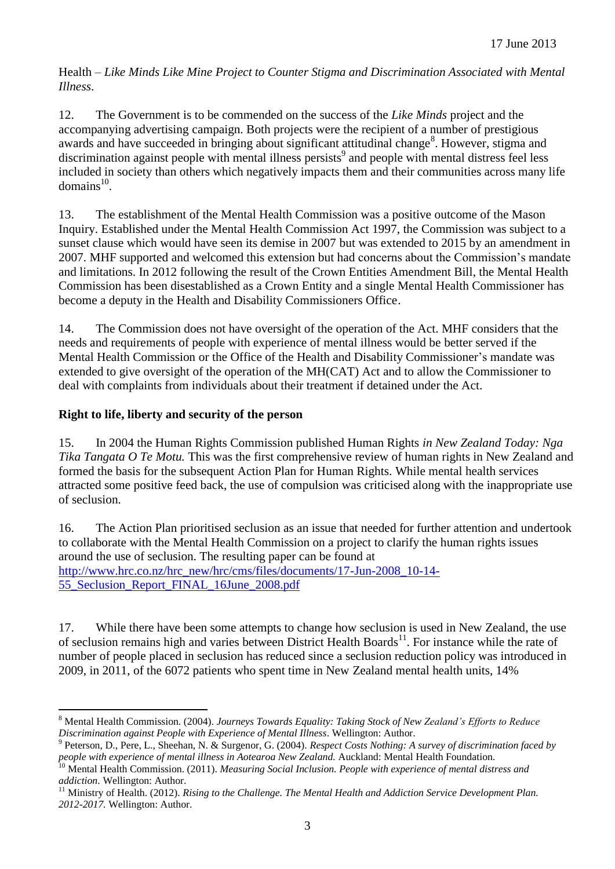Health – *Like Minds Like Mine Project to Counter Stigma and Discrimination Associated with Mental Illness*.

12. The Government is to be commended on the success of the *Like Minds* project and the accompanying advertising campaign. Both projects were the recipient of a number of prestigious awards and have succeeded in bringing about significant attitudinal change<sup>8</sup>. However, stigma and discrimination against people with mental illness persists 9 and people with mental distress feel less included in society than others which negatively impacts them and their communities across many life  $domains<sup>10</sup>$ .

13. The establishment of the Mental Health Commission was a positive outcome of the Mason Inquiry. Established under the Mental Health Commission Act 1997, the Commission was subject to a sunset clause which would have seen its demise in 2007 but was extended to 2015 by an amendment in 2007. MHF supported and welcomed this extension but had concerns about the Commission's mandate and limitations. In 2012 following the result of the Crown Entities Amendment Bill, the Mental Health Commission has been disestablished as a Crown Entity and a single Mental Health Commissioner has become a deputy in the Health and Disability Commissioners Office.

14. The Commission does not have oversight of the operation of the Act. MHF considers that the needs and requirements of people with experience of mental illness would be better served if the Mental Health Commission or the Office of the Health and Disability Commissioner's mandate was extended to give oversight of the operation of the MH(CAT) Act and to allow the Commissioner to deal with complaints from individuals about their treatment if detained under the Act.

## **Right to life, liberty and security of the person**

 $\overline{a}$ 

15. In 2004 the Human Rights Commission published Human Rights *in New Zealand Today: Nga Tika Tangata O Te Motu.* This was the first comprehensive review of human rights in New Zealand and formed the basis for the subsequent Action Plan for Human Rights. While mental health services attracted some positive feed back, the use of compulsion was criticised along with the inappropriate use of seclusion.

16. The Action Plan prioritised seclusion as an issue that needed for further attention and undertook to collaborate with the Mental Health Commission on a project to clarify the human rights issues around the use of seclusion. The resulting paper can be found at [http://www.hrc.co.nz/hrc\\_new/hrc/cms/files/documents/17-Jun-2008\\_10-14-](http://www.hrc.co.nz/hrc_new/hrc/cms/files/documents/17-Jun-2008_10-14-55_Seclusion_Report_FINAL_16June_2008.pdf) [55\\_Seclusion\\_Report\\_FINAL\\_16June\\_2008.pdf](http://www.hrc.co.nz/hrc_new/hrc/cms/files/documents/17-Jun-2008_10-14-55_Seclusion_Report_FINAL_16June_2008.pdf)

17. While there have been some attempts to change how seclusion is used in New Zealand, the use of seclusion remains high and varies between District Health Boards<sup>11</sup>. For instance while the rate of number of people placed in seclusion has reduced since a seclusion reduction policy was introduced in 2009, in 2011, of the 6072 patients who spent time in New Zealand mental health units, 14%

<sup>8</sup> Mental Health Commission. (2004). *Journeys Towards Equality: Taking Stock of New Zealand's Efforts to Reduce Discrimination against People with Experience of Mental Illness*. Wellington: Author.

<sup>9</sup> Peterson, D., Pere, L., Sheehan, N. & Surgenor, G. (2004). *Respect Costs Nothing: A survey of discrimination faced by people with experience of mental illness in Aotearoa New Zealand.* Auckland: Mental Health Foundation.

<sup>10</sup> Mental Health Commission. (2011). *Measuring Social Inclusion. People with experience of mental distress and addiction*. Wellington: Author.

<sup>&</sup>lt;sup>11</sup> Ministry of Health. (2012). *Rising to the Challenge. The Mental Health and Addiction Service Development Plan. 2012-2017.* Wellington: Author.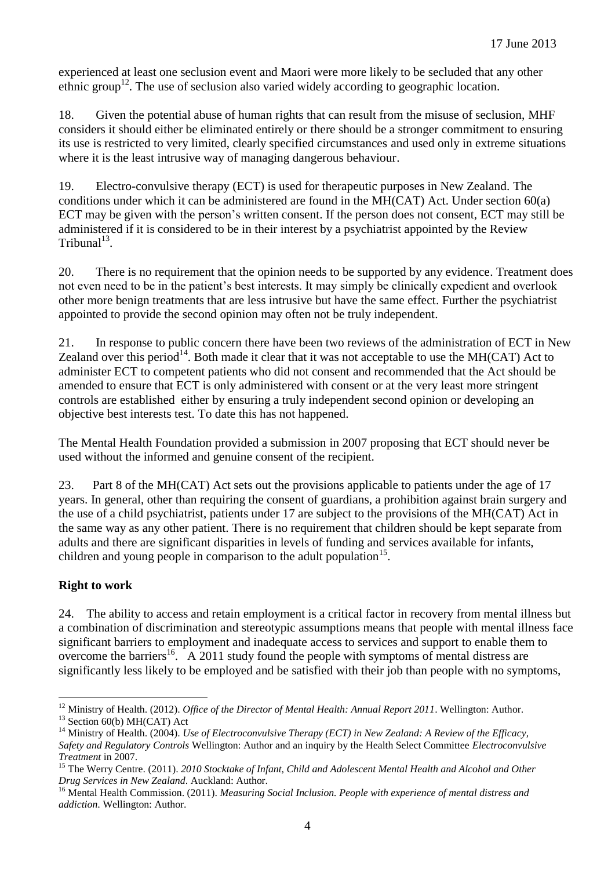experienced at least one seclusion event and Maori were more likely to be secluded that any other ethnic group<sup>12</sup>. The use of seclusion also varied widely according to geographic location.

18. Given the potential abuse of human rights that can result from the misuse of seclusion, MHF considers it should either be eliminated entirely or there should be a stronger commitment to ensuring its use is restricted to very limited, clearly specified circumstances and used only in extreme situations where it is the least intrusive way of managing dangerous behaviour.

19. Electro-convulsive therapy (ECT) is used for therapeutic purposes in New Zealand. The conditions under which it can be administered are found in the MH(CAT) Act. Under section 60(a) ECT may be given with the person's written consent. If the person does not consent, ECT may still be administered if it is considered to be in their interest by a psychiatrist appointed by the Review  $Tribunal<sup>13</sup>$ .

20. There is no requirement that the opinion needs to be supported by any evidence. Treatment does not even need to be in the patient's best interests. It may simply be clinically expedient and overlook other more benign treatments that are less intrusive but have the same effect. Further the psychiatrist appointed to provide the second opinion may often not be truly independent.

21. In response to public concern there have been two reviews of the administration of ECT in New Zealand over this period<sup>14</sup>. Both made it clear that it was not acceptable to use the MH(CAT) Act to administer ECT to competent patients who did not consent and recommended that the Act should be amended to ensure that ECT is only administered with consent or at the very least more stringent controls are established either by ensuring a truly independent second opinion or developing an objective best interests test. To date this has not happened.

The Mental Health Foundation provided a submission in 2007 proposing that ECT should never be used without the informed and genuine consent of the recipient.

23. Part 8 of the MH(CAT) Act sets out the provisions applicable to patients under the age of 17 years. In general, other than requiring the consent of guardians, a prohibition against brain surgery and the use of a child psychiatrist, patients under 17 are subject to the provisions of the MH(CAT) Act in the same way as any other patient. There is no requirement that children should be kept separate from adults and there are significant disparities in levels of funding and services available for infants, children and young people in comparison to the adult population<sup>15</sup>.

#### **Right to work**

24. The ability to access and retain employment is a critical factor in recovery from mental illness but a combination of discrimination and stereotypic assumptions means that people with mental illness face significant barriers to employment and inadequate access to services and support to enable them to overcome the barriers<sup>16</sup>. A 2011 study found the people with symptoms of mental distress are significantly less likely to be employed and be satisfied with their job than people with no symptoms,

 $\overline{a}$ <sup>12</sup> Ministry of Health. (2012). *Office of the Director of Mental Health: Annual Report 2011*. Wellington: Author. <sup>13</sup> Section 60(b) MH(CAT) Act

<sup>&</sup>lt;sup>14</sup> Ministry of Health. (2004). *Use of Electroconvulsive Therapy (ECT) in New Zealand: A Review of the Efficacy, Safety and Regulatory Controls* Wellington: Author and an inquiry by the Health Select Committee *Electroconvulsive Treatment* in 2007.

<sup>&</sup>lt;sup>15</sup> The Werry Centre. (2011). *2010 Stocktake of Infant, Child and Adolescent Mental Health and Alcohol and Other Drug Services in New Zealand*. Auckland: Author.

<sup>16</sup> Mental Health Commission. (2011). *Measuring Social Inclusion. People with experience of mental distress and addiction*. Wellington: Author.